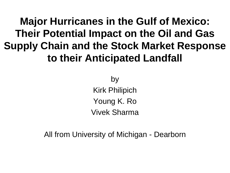# **Major Hurricanes in the Gulf of Mexico: Their Potential Impact on the Oil and Gas Supply Chain and the Stock Market Response to their Anticipated Landfall**

by Kirk Philipich Young K. Ro Vivek Sharma

All from University of Michigan - Dearborn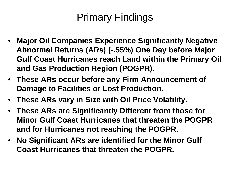# Primary Findings

- **Major Oil Companies Experience Significantly Negative Abnormal Returns (ARs) (-.55%) One Day before Major Gulf Coast Hurricanes reach Land within the Primary Oil and Gas Production Region (POGPR).**
- **These ARs occur before any Firm Announcement of Damage to Facilities or Lost Production.**
- **These ARs vary in Size with Oil Price Volatility.**
- **These ARs are Significantly Different from those for Minor Gulf Coast Hurricanes that threaten the POGPR and for Hurricanes not reaching the POGPR.**
- **No Significant ARs are identified for the Minor Gulf Coast Hurricanes that threaten the POGPR.**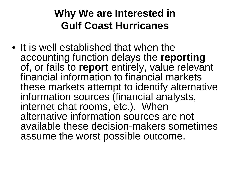# **Why We are Interested in Gulf Coast Hurricanes**

• It is well established that when the accounting function delays the **reporting** of, or fails to **report** entirely, value relevant financial information to financial markets these markets attempt to identify alternative information sources (financial analysts, internet chat rooms, etc.). When alternative information sources are not available these decision-makers sometimes assume the worst possible outcome.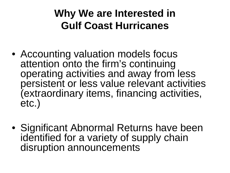# **Why We are Interested in Gulf Coast Hurricanes**

- Accounting valuation models focus attention onto the firm's continuing operating activities and away from less persistent or less value relevant activities (extraordinary items, financing activities, etc.)
- Significant Abnormal Returns have been identified for a variety of supply chain disruption announcements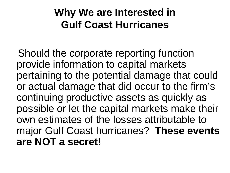# **Why We are Interested in Gulf Coast Hurricanes**

Should the corporate reporting function provide information to capital markets pertaining to the potential damage that could or actual damage that did occur to the firm's continuing productive assets as quickly as possible or let the capital markets make their own estimates of the losses attributable to major Gulf Coast hurricanes? **These events are NOT a secret!**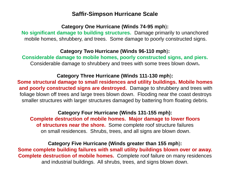### **Saffir-Simpson Hurricane Scale**

### **Category One Hurricane (Winds 74-95 mph**)**:**

**No significant damage to building structures.** Damage primarily to unanchored mobile homes, shrubbery, and trees. Some damage to poorly constructed signs.

#### **Category Two Hurricane (Winds 96-110 mph**)**:**

**Considerable damage to mobile homes, poorly constructed signs, and piers.** Considerable damage to shrubbery and trees with some trees blown down**.**

### **Category Three Hurricane (Winds 111-130 mph**)**:**

**Some structural damage to small residences and utility buildings. Mobile homes and poorly constructed signs are destroyed.** Damage to shrubbery and trees with foliage blown off trees and large trees blown down. Flooding near the coast destroys smaller structures with larger structures damaged by battering from floating debris.

### **Category Four Hurricane (Winds 131-155 mph): Complete destruction of mobile homes. Major damage to lower floors of structures near the shore.** Some complete roof structure failures on small residences. Shrubs, trees, and all signs are blown down.

### **Category Five Hurricane (Winds greater than 155 mph**)**: Some complete building failures with small utility buildings blown over or away. Complete destruction of mobile homes.** Complete roof failure on many residences and industrial buildings. All shrubs, trees, and signs blown down.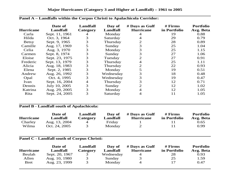| <b>Hurricane</b> | Date of<br>Landfall | <b>Landfall</b><br>Category | Day of<br>Landfall | # Days as Gulf<br><b>Hurricane</b> | # Firms<br>in Portfolio | <b>Portfolio</b><br>Avg. Beta |
|------------------|---------------------|-----------------------------|--------------------|------------------------------------|-------------------------|-------------------------------|
| Carla            | Sept. 11, 1961      | 4                           | Monday             | 4                                  | 19                      | 0.88                          |
| Hilda            | Oct. 3, 1964        | 3                           | Saturday           | 4                                  | 29                      | 0.79                          |
| <b>Betsy</b>     | Sept. 9, 1965       | 3                           | Thursday           |                                    | 28                      | 0.89                          |
| Camille          | Aug. 17, 1969       | 5                           | Sunday             |                                    | 25                      | 1.04                          |
| Celia            | Aug. 3, 1970        | 3                           | Monday             | 3                                  | 25                      | 1.15                          |
| Carmen           | Sept. 8, 1974       | 3                           | Sunday             |                                    | 27                      | 1.06                          |
| Eloise           | Sept. 23, 1975      | 3                           | Tuesday            | 2                                  | 27                      | 0.91                          |
| Frederic         | Sept. 13, 1979      | 3                           | Thursday           | 4                                  | 25                      | 1.11                          |
| Alicia           | Aug. 18, 1983       | 3                           | Thursday           | 2                                  | 22                      | 0.93                          |
| Elena            | Sept. 2, 1985       | 3                           | Monday             |                                    | 19                      | 0.51                          |
| Andrew           | Aug. 26, 1992       | 3                           | Wednesday          | 3                                  | 18                      | 0.48                          |
| Opal             | Oct. 4, 1995        | 3                           | Wednesday          | 3                                  | 19                      | 0.47                          |
| Ivan             | Sept. 16, 2004      | 4                           | Thursday           | 3                                  | 12                      | 0.71                          |
| Dennis           | July 10, 2005       | 3                           | Sunday             | 2                                  | 12                      | 1.02                          |
| Katrina          | Aug. 29, 2005       | 3                           | Monday             | 4                                  | 12                      | 1.05                          |
| Rita             | Sept. 24, 2005      | 3                           | Saturday           | 4                                  | 11                      | 1.05                          |

#### **Panel A – Landfalls within the Corpus Christi to Apalachicola Corridor:**

#### **Panel B - Landfall south of Apalachicola:**

| <b>Hurricane</b> | Date of<br>Landfall | Landfall<br>Category | Day of<br>Landfall | # Days as Gulf<br><b>Hurricane</b> | $#$ Firms<br>in Portfolio | <b>Portfolio</b><br>Avg. Beta |
|------------------|---------------------|----------------------|--------------------|------------------------------------|---------------------------|-------------------------------|
| Charley          | Aug. 13, 2004       | 4                    | Friday             |                                    |                           | 0.65                          |
| Wilma            | Oct. 24, 2005       |                      | Monday             |                                    |                           | 0.99                          |

#### **Panel C - Landfall south of Corpus Christi:**

|                  | Date of        | Landfall | Day of    | # Days as Gulf   | $#$ Firms    | <b>Portfolio</b> |
|------------------|----------------|----------|-----------|------------------|--------------|------------------|
| <b>Hurricane</b> | Landfall       | Category | Landfall  | <b>Hurricane</b> | in Portfolio | Avg. Beta        |
| Beulah           | Sept. 20, 1967 |          | Wednesday |                  | 28           | 0.93             |
| Allen            | Aug. 10, 1980  | 3        | Sunday    |                  | 25           | 1.59             |
| Bret             | Aug. 23, 1999  | 3        | Monday    | 4                |              | 0.47             |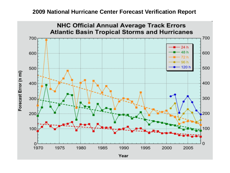## **2009 National Hurricane Center Forecast Verification Report**

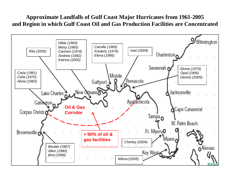## **Approximate Landfalls of Gulf Coast Major Hurricanes from 1961-2005 and Region in which Gulf Coast Oil and Gas Production Facilities are Concentrated**

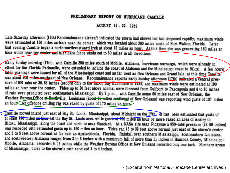#### PRELIMINARY REPORT ON HURRICANE CAMILLE

AUGUST 14 - 22, 1969

Late Saturday afternoon (16th) Reconnaissance aircraft indicated the storm had slowed but had deepened rapidly; maximum winds were estimated at 150 miles an hour near the center, which was located about 380 miles south of Fort Walton, Florida. Later that evening Camille began a north-northwestward trek at about 12 miles an hour. At this time she was generating 160 miles an hour winds near her center and hurricane force winds out to 50 miles in all directions.

Early Sunday morning (17th), with Camille 250 miles south of Mobile, Alabama, hurricane warnings, which were already in effect for the Florida Panhandie, were extended to include the coast of Alabama and the Mississippi coast to Biloxi. A few hours later warnings were issued for all of the Mississippi coast and as far west as New Orleans and Grand Isle; at this time Camille was about 200 miles southeast of New Orleans. Reconnaissance reports early Sunday afternoon (17th) indicated a central pressure of 901 mbs or 26. 63 inches (second only to the Labor Day Hurricane of 1935) and maximum winds were estimated at 190 miles an hour near the center. Tides up to 20 feet above normal were forecast from Gulfport to Pascagoula and 8 to 10 inches of rain were predicted over southeastern Mississippi. By 7 p.m., with Camille some 60 miles east of New Orleans, the Weather Bureau Office at Boothville, Louisiana (about 60 miles southeast of New Orleans) was reporting wind gusts of 107 miles an hour An offshore drilling rig was raked by gusts of 170 miles an hour

Camille moved inland just east of Bay St. Louis, Mississippi, about Midnight on the 17th Rt has been estimated that gusts of at least 190 miles an hour hit the Bay St. Louis area while gusts of 150 miles an hour or more raked an area of Ansley to Biloxi, Mississippi, along the coast and north to near Standard. At a NASA site near Picayune a 950-mbs pressure (28.06 inches) was recorded with estimated gusts up to 160 miles an hour. Tides ran 15 to 32 feet above normal just east of the storm's center and 3 to 5 feet above normal as far east as Apalachicola, Florida. Rainfall over southern Mississippi, southeastern Louisiana, and southwestern Alabama ranged from 3 to 6 inches with a maximum fall of more than 11 inches in Hancock County, Mississippi. Mobile, Alabama, recorded 6.05 inches while the Weather Bureau Office at New Orleans recorded only one inch. Northern areas of Mississippi, close to the storm's path received 2 to 4 inches.

- (Excerpt from *National Hurricane Center* archives.)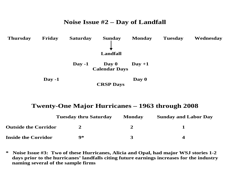## **Noise Issue #2 – Day of Landfall Thursday Friday Saturday Sunday Monday Tuesday Wednesday Landfall Day -1** Day  $0$  Day +1  **Calendar Days Day -1** Day 0  **CRSP Days**

## **Twenty-One Major Hurricanes – 1963 through 2008**

|                             | <b>Tuesday thru Saturday</b> | <b>Monday</b> | <b>Sunday and Labor Day</b> |
|-----------------------------|------------------------------|---------------|-----------------------------|
| <b>Outside the Corridor</b> |                              |               |                             |
| <b>Inside the Corridor</b>  | Q*                           |               |                             |

**\* Noise Issue #3: Two of these Hurricanes, Alicia and Opal, had major WSJ stories 1-2 days prior to the hurricanes' landfalls citing future earnings increases for the industry naming several of the sample firms**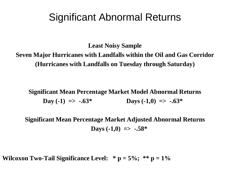# Significant Abnormal Returns

**Least Noisy Sample**

**Seven Major Hurricanes with Landfalls within the Oil and Gas Corridor (Hurricanes with Landfalls on Tuesday through Saturday)**

**Significant Mean Percentage Market Model Abnormal Returns Day** (-1)  $\Rightarrow$  -.63\* **Days** (-1,0)  $\Rightarrow$  -.63\*

**Significant Mean Percentage Market Adjusted Abnormal Returns Days (-1,0)**  $\Rightarrow$  **-.58\*** 

**Wilcoxon Two-Tail Significance Level:**  $* \mathbf{p} = 5\%$ ;  $* \mathbf{p} = 1\%$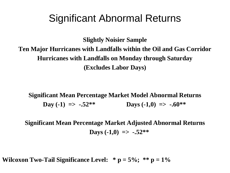# Significant Abnormal Returns

**Slightly Noisier Sample Ten Major Hurricanes with Landfalls within the Oil and Gas Corridor Hurricanes with Landfalls on Monday through Saturday (Excludes Labor Days)**

**Significant Mean Percentage Market Model Abnormal Returns Day** (-1)  $\Rightarrow$  -.52\*\* **Days** (-1,0)  $\Rightarrow$  -.60\*\*

**Significant Mean Percentage Market Adjusted Abnormal Returns Days (-1,0)**  $\Rightarrow$  -.52\*\*

**Wilcoxon Two-Tail Significance Level:**  $* \mathbf{p} = 5\%$ ;  $* \mathbf{p} = 1\%$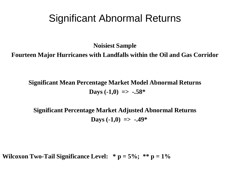# Significant Abnormal Returns

**Noisiest Sample**

**Fourteen Major Hurricanes with Landfalls within the Oil and Gas Corridor**

**Significant Mean Percentage Market Model Abnormal Returns Days (-1,0)**  $\Rightarrow$  **-.58\*** 

**Significant Percentage Market Adjusted Abnormal Returns Days (-1,0) => -.49\*** 

**Wilcoxon Two-Tail Significance Level:**  $* \mathbf{p} = 5\%$ ;  $* \mathbf{p} = 1\%$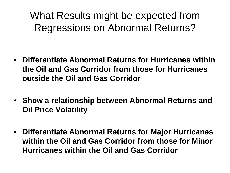What Results might be expected from Regressions on Abnormal Returns?

- **Differentiate Abnormal Returns for Hurricanes within the Oil and Gas Corridor from those for Hurricanes outside the Oil and Gas Corridor**
- **Show a relationship between Abnormal Returns and Oil Price Volatility**
- **Differentiate Abnormal Returns for Major Hurricanes within the Oil and Gas Corridor from those for Minor Hurricanes within the Oil and Gas Corridor**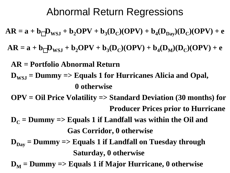# Abnormal Return Regressions

 $AR = a + b<sub>1</sub> D<sub>WS,I</sub> + b<sub>2</sub> OPV + b<sub>3</sub>(D<sub>C</sub>)(OPV) + b<sub>4</sub>(D<sub>Day</sub>)(D<sub>C</sub>)(OPV) + e$ 

 $AR = a + b<sub>1</sub> D<sub>WSI</sub> + b<sub>2</sub> OPV + b<sub>3</sub>(D<sub>C</sub>)(OPV) + b<sub>4</sub>(D<sub>M</sub>)(D<sub>C</sub>)(OPV) + e$ 

**AR = Portfolio Abnormal Return**

- **DWSJ = Dummy => Equals 1 for Hurricanes Alicia and Opal, 0 otherwise**
- **OPV = Oil Price Volatility => Standard Deviation (30 months) for Producer Prices prior to Hurricane**
- $D<sub>C</sub>$  = Dummy => Equals 1 if Landfall was within the Oil and **Gas Corridor, 0 otherwise**
- $D_{\text{Dav}}$  = Dummy => Equals 1 if Landfall on Tuesday through **Saturday, 0 otherwise**
- $D_M$  = Dummy => Equals 1 if Major Hurricane, 0 otherwise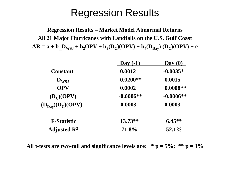**Regression Results – Market Model Abnormal Returns All 21 Major Hurricanes with Landfalls on the U.S. Gulf Coast**  $AR = a + b\frac{D_{WSJ} + b_2OPV + b_3(D_C)(OPV) + b_4(D_{Day}) (D_C)(OPV) + e$ 

|                                     | Day $(-1)$  | $\bf Day$ (0) |
|-------------------------------------|-------------|---------------|
| <b>Constant</b>                     | 0.0012      | $-0.0035*$    |
| $\mathbf{D}_{\mathbf{WSJ}}$         | $0.0200**$  | 0.0015        |
| <b>OPV</b>                          | 0.0002      | $0.0008**$    |
| $(D_C)(OPV)$                        | $-0.0006**$ | $-0.0006**$   |
| $(D_{\text{Day}})(D_C)(\text{OPV})$ | $-0.0003$   | 0.0003        |
| <b>F-Statistic</b>                  | $13.73**$   | $6.45**$      |
| Adjusted $\mathbb{R}^2$             | 71.8%       | 52.1%         |

All t-tests are two-tail and significance levels are:  $* p = 5\%$ ;  $** p = 1\%$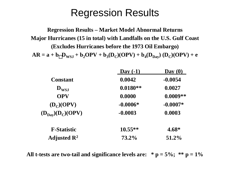**Regression Results – Market Model Abnormal Returns Major Hurricanes (15 in total) with Landfalls on the U.S. Gulf Coast (Excludes Hurricanes before the 1973 Oil Embargo)**  $AR = a + b\frac{D_{WSJ} + b_2OPV + b_3(D_C)(OPV) + b_4(D_{Day}) (D_C)(OPV) + e$ 

|                                     | Day $(-1)$ | $\bf Day$ (0) |
|-------------------------------------|------------|---------------|
| <b>Constant</b>                     | 0.0042     | $-0.0054$     |
| $\mathbf{D}_{\mathbf{WSJ}}$         | $0.0180**$ | 0.0027        |
| <b>OPV</b>                          | 0.0000     | $0.0009**$    |
| $(D_C)(OPV)$                        | $-0.0006*$ | $-0.0007*$    |
| $(D_{\text{Day}})(D_C)(\text{OPV})$ | $-0.0003$  | 0.0003        |
| <b>F-Statistic</b>                  | $10.55**$  | $4.68*$       |
| Adjusted $\mathbb{R}^2$             | 73.2%      | 51.2%         |

All t-tests are two-tail and significance levels are:  $* p = 5\%$ ;  $** p = 1\%$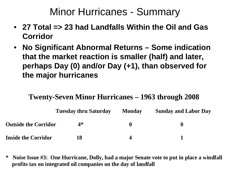# Minor Hurricanes - Summary

- **27 Total => 23 had Landfalls Within the Oil and Gas Corridor**
- **No Significant Abnormal Returns – Some indication that the market reaction is smaller (half) and later, perhaps Day (0) and/or Day (+1), than observed for the major hurricanes**

## **Twenty-Seven Minor Hurricanes – 1963 through 2008**

|                             | <b>Tuesday thru Saturday</b> | <b>Monday</b> | <b>Sunday and Labor Day</b> |
|-----------------------------|------------------------------|---------------|-----------------------------|
| <b>Outside the Corridor</b> | 4*                           |               | O                           |
| <b>Inside the Corridor</b>  | 18                           |               |                             |

**\* Noise Issue #3: One Hurricane, Dolly, had a major Senate vote to put in place a windfall profits tax on integrated oil companies on the day of landfall**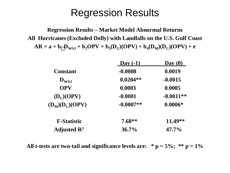**Regression Results – Market Model Abnormal Returns All Hurricanes (Excluded Dolly) with Landfalls on the U.S. Gulf Coast**  $AR = a + b_1D_{WSJ} + b_2OPV + b_3(D_C)(OPV) + b_4(D_M)(D_C)(OPV) + e$ 

|                             | Day $(-1)$  | $\bf Day$ (0) |
|-----------------------------|-------------|---------------|
| <b>Constant</b>             | $-0.0008$   | 0.0019        |
| $\mathbf{D}_{\mathbf{WSJ}}$ | $0.0204**$  | $-0.0015$     |
| <b>OPV</b>                  | 0.0003      | 0.0005        |
| $(D_C)(OPV)$                | $-0.0001$   | $-0.0011**$   |
| $(D_M)(D_C)(OPV)$           | $-0.0007**$ | $0.0006*$     |
| <b>F-Statistic</b>          | $7.68**$    | 11.49**       |
| Adjusted $\mathbb{R}^2$     | 36.7%       | $47.7\%$      |

All t-tests are two-tail and significance levels are:  $* p = 5\%; * p = 1\%$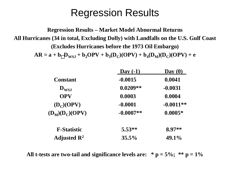**Regression Results – Market Model Abnormal Returns All Hurricanes (34 in total, Excluding Dolly) with Landfalls on the U.S. Gulf Coast (Excludes Hurricanes before the 1973 Oil Embargo)**  $AR = a + b\frac{D_{WSI} + b_2OPV + b_3(D_C)(OPV) + b_4(D_M)(D_C)(OPV) + e$ 

> **Day (-1) Day (0) Constant -0.0015 0.0041 DWSJ 0.0209\*\* -0.0031 OPV 0.0003 0.0004**  $(D_C)(OPV)$  **-0.0001 -0.0011\*\***  $(D_M)(D_C)(OPV)$  **-0.0007\*\* 0.0005\* F-Statistic 5.53\*\* 8.97\*\* Adjusted R2 35.5% 49.1%**

All t-tests are two-tail and significance levels are:  $* p = 5\%$ ;  $** p = 1\%$